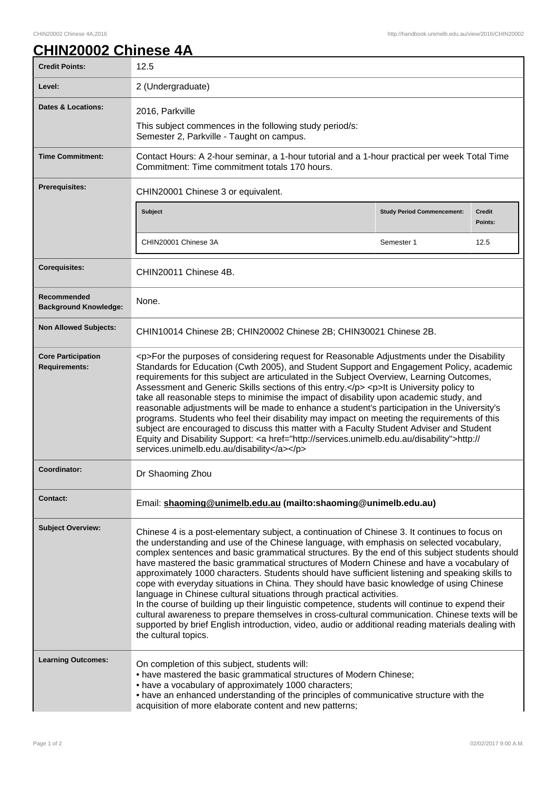## **CHIN20002 Chinese 4A**

| <b>Credit Points:</b>                             | 12.5                                                                                                                                                                                                                                                                                                                                                                                                                                                                                                                                                                                                                                                                                                                                                                                                                                                                                                                                                                                                   |                                   |                          |
|---------------------------------------------------|--------------------------------------------------------------------------------------------------------------------------------------------------------------------------------------------------------------------------------------------------------------------------------------------------------------------------------------------------------------------------------------------------------------------------------------------------------------------------------------------------------------------------------------------------------------------------------------------------------------------------------------------------------------------------------------------------------------------------------------------------------------------------------------------------------------------------------------------------------------------------------------------------------------------------------------------------------------------------------------------------------|-----------------------------------|--------------------------|
| Level:                                            | 2 (Undergraduate)                                                                                                                                                                                                                                                                                                                                                                                                                                                                                                                                                                                                                                                                                                                                                                                                                                                                                                                                                                                      |                                   |                          |
| <b>Dates &amp; Locations:</b>                     | 2016, Parkville                                                                                                                                                                                                                                                                                                                                                                                                                                                                                                                                                                                                                                                                                                                                                                                                                                                                                                                                                                                        |                                   |                          |
|                                                   | This subject commences in the following study period/s:<br>Semester 2, Parkville - Taught on campus.                                                                                                                                                                                                                                                                                                                                                                                                                                                                                                                                                                                                                                                                                                                                                                                                                                                                                                   |                                   |                          |
| <b>Time Commitment:</b>                           | Contact Hours: A 2-hour seminar, a 1-hour tutorial and a 1-hour practical per week Total Time<br>Commitment: Time commitment totals 170 hours.                                                                                                                                                                                                                                                                                                                                                                                                                                                                                                                                                                                                                                                                                                                                                                                                                                                         |                                   |                          |
| <b>Prerequisites:</b>                             | CHIN20001 Chinese 3 or equivalent.                                                                                                                                                                                                                                                                                                                                                                                                                                                                                                                                                                                                                                                                                                                                                                                                                                                                                                                                                                     |                                   |                          |
|                                                   | <b>Subject</b>                                                                                                                                                                                                                                                                                                                                                                                                                                                                                                                                                                                                                                                                                                                                                                                                                                                                                                                                                                                         | <b>Study Period Commencement:</b> | <b>Credit</b><br>Points: |
|                                                   | CHIN20001 Chinese 3A                                                                                                                                                                                                                                                                                                                                                                                                                                                                                                                                                                                                                                                                                                                                                                                                                                                                                                                                                                                   | Semester 1                        | 12.5                     |
|                                                   |                                                                                                                                                                                                                                                                                                                                                                                                                                                                                                                                                                                                                                                                                                                                                                                                                                                                                                                                                                                                        |                                   |                          |
| <b>Corequisites:</b>                              | CHIN20011 Chinese 4B.                                                                                                                                                                                                                                                                                                                                                                                                                                                                                                                                                                                                                                                                                                                                                                                                                                                                                                                                                                                  |                                   |                          |
| Recommended<br><b>Background Knowledge:</b>       | None.                                                                                                                                                                                                                                                                                                                                                                                                                                                                                                                                                                                                                                                                                                                                                                                                                                                                                                                                                                                                  |                                   |                          |
| <b>Non Allowed Subjects:</b>                      | CHIN10014 Chinese 2B; CHIN20002 Chinese 2B; CHIN30021 Chinese 2B.                                                                                                                                                                                                                                                                                                                                                                                                                                                                                                                                                                                                                                                                                                                                                                                                                                                                                                                                      |                                   |                          |
| <b>Core Participation</b><br><b>Requirements:</b> | <p>For the purposes of considering request for Reasonable Adjustments under the Disability<br/>Standards for Education (Cwth 2005), and Student Support and Engagement Policy, academic<br/>requirements for this subject are articulated in the Subject Overview, Learning Outcomes,<br/>Assessment and Generic Skills sections of this entry.</p> <p>lt is University policy to<br/>take all reasonable steps to minimise the impact of disability upon academic study, and<br/>reasonable adjustments will be made to enhance a student's participation in the University's<br/>programs. Students who feel their disability may impact on meeting the requirements of this<br/>subject are encouraged to discuss this matter with a Faculty Student Adviser and Student<br/>Equity and Disability Support: &lt; a href="http://services.unimelb.edu.au/disability"&gt;http://<br/>services.unimelb.edu.au/disability</p>                                                                           |                                   |                          |
| Coordinator:                                      | Dr Shaoming Zhou                                                                                                                                                                                                                                                                                                                                                                                                                                                                                                                                                                                                                                                                                                                                                                                                                                                                                                                                                                                       |                                   |                          |
| <b>Contact:</b>                                   | Email: shaoming@unimelb.edu.au (mailto:shaoming@unimelb.edu.au)                                                                                                                                                                                                                                                                                                                                                                                                                                                                                                                                                                                                                                                                                                                                                                                                                                                                                                                                        |                                   |                          |
| <b>Subject Overview:</b>                          | Chinese 4 is a post-elementary subject, a continuation of Chinese 3. It continues to focus on<br>the understanding and use of the Chinese language, with emphasis on selected vocabulary,<br>complex sentences and basic grammatical structures. By the end of this subject students should<br>have mastered the basic grammatical structures of Modern Chinese and have a vocabulary of<br>approximately 1000 characters. Students should have sufficient listening and speaking skills to<br>cope with everyday situations in China. They should have basic knowledge of using Chinese<br>language in Chinese cultural situations through practical activities.<br>In the course of building up their linguistic competence, students will continue to expend their<br>cultural awareness to prepare themselves in cross-cultural communication. Chinese texts will be<br>supported by brief English introduction, video, audio or additional reading materials dealing with<br>the cultural topics. |                                   |                          |
| <b>Learning Outcomes:</b>                         | On completion of this subject, students will:<br>• have mastered the basic grammatical structures of Modern Chinese;<br>• have a vocabulary of approximately 1000 characters;<br>• have an enhanced understanding of the principles of communicative structure with the<br>acquisition of more elaborate content and new patterns;                                                                                                                                                                                                                                                                                                                                                                                                                                                                                                                                                                                                                                                                     |                                   |                          |